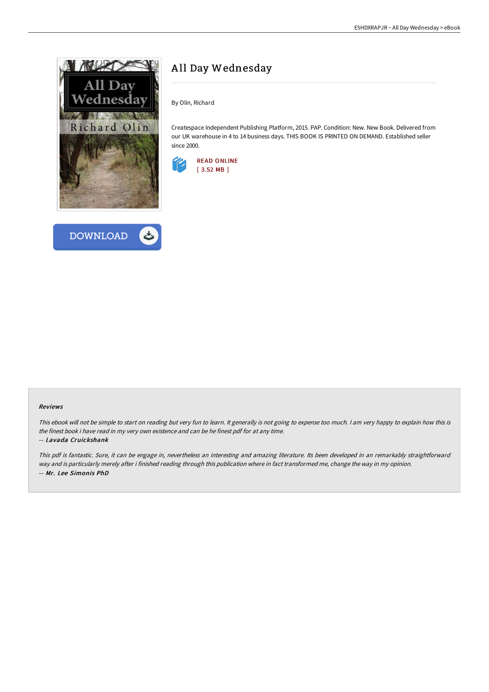



# A ll Day Wednesday

By Olin, Richard

Createspace Independent Publishing Platform, 2015. PAP. Condition: New. New Book. Delivered from our UK warehouse in 4 to 14 business days. THIS BOOK IS PRINTED ON DEMAND. Established seller since 2000.



#### Reviews

This ebook will not be simple to start on reading but very fun to learn. It generally is not going to expense too much. I am very happy to explain how this is the finest book i have read in my very own existence and can be he finest pdf for at any time.

### -- Lavada Cruickshank

This pdf is fantastic. Sure, it can be engage in, nevertheless an interesting and amazing literature. Its been developed in an remarkably straightforward way and is particularly merely after i finished reading through this publication where in fact transformed me, change the way in my opinion. -- Mr. Lee Simonis PhD